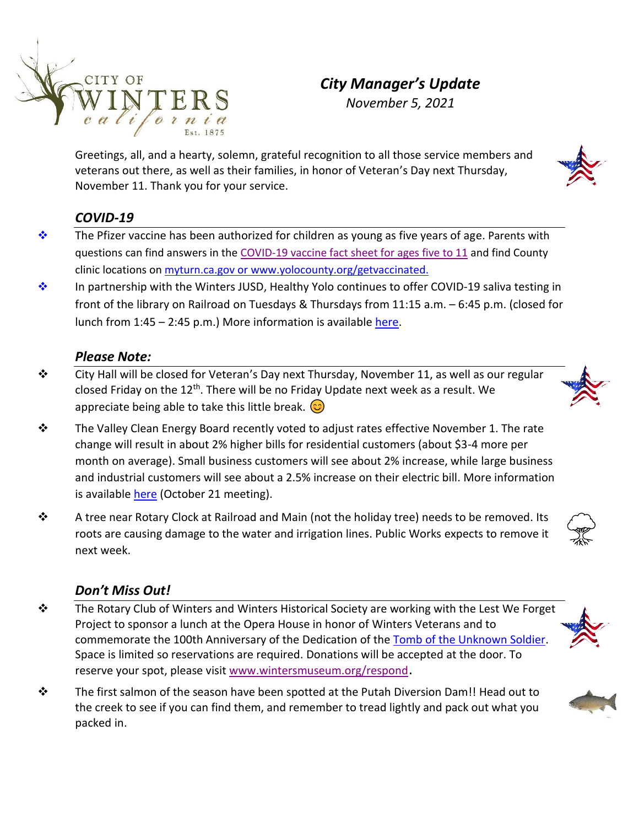

# *City Manager's Update November 5, 2021*

Greetings, all, and a hearty, solemn, grateful recognition to all those service members and veterans out there, as well as their families, in honor of Veteran's Day next Thursday, November 11. Thank you for your service.

# *COVID-19*

- ❖ The Pfizer vaccine has been authorized for children as young as five years of age. Parents with questions can find answers in the [COVID-19 vaccine fact sheet for ages five to 11](https://www.yolocounty.org/home/showdocument?id=71537&t=637716157778785594) and find County clinic locations on [myturn.ca.gov](https://myturn.ca.gov/) or [www.yolocounty.org/getvaccinated.](http://www.yolocounty.org/getvaccinated)
- ❖ In partnership with the Winters JUSD, Healthy Yolo continues to offer COVID-19 saliva testing i[n](https://creativecommons.org/licenses/by-nc/3.0/)  front of the library on Railroad on Tuesdays & Thursdays from 11:15 a.m. – 6:45 p.m. (closed for lunch from 1:45 – 2:45 p.m.) More information is available [here.](https://www.wintersjusd.org/hyt)

### *Please Note:*

- ❖ City Hall will be closed for Veteran's Day next Thursday, November 11, as well as our regular closed Friday on the 12<sup>th</sup>. There will be no Friday Update next week as a result. We appreciate being able to take this little break.  $\circled{c}$
- ❖ The Valley Clean Energy Board recently voted to adjust rates effective November 1. The rate change will result in about 2% higher bills for residential customers (about \$3-4 more per month on average). Small business customers will see about 2% increase, while large business and industrial customers will see about a 2.5% increase on their electric bill. More information is available [here](https://valleycleanenergy.org/board-meetings/) (October 21 meeting).
- ❖ A tree near Rotary Clock at Railroad and Main (not the holiday tree) needs to be removed. Its roots are causing damage to the water and irrigation lines. Public Works expects to remove it next week.

#### *Don't Miss Out!*

- ❖ The Rotary Club of Winters and Winters Historical Society are working with the Lest We Forget Project to sponsor a lunch at the Opera House in honor of Winters Veterans and to commemorate the 100th Anniversary of the Dedication of the [Tomb of the Unknown Soldier.](https://boundarystones.weta.org/2012/11/12/dedication-tomb-unknown-soldier) Space is limited so reservations are required. Donations will be accepted at the door. To reserve your spot, please visit [www.wintersmuseum.org/respond](http://www.wintersmuseum.org/respond).
- ◆ The first salmon of the season have been spotted at the Putah Diversion Dam!! Head out to the creek to see if you can find them, and remember to tread lightly and pack out what you packed in.





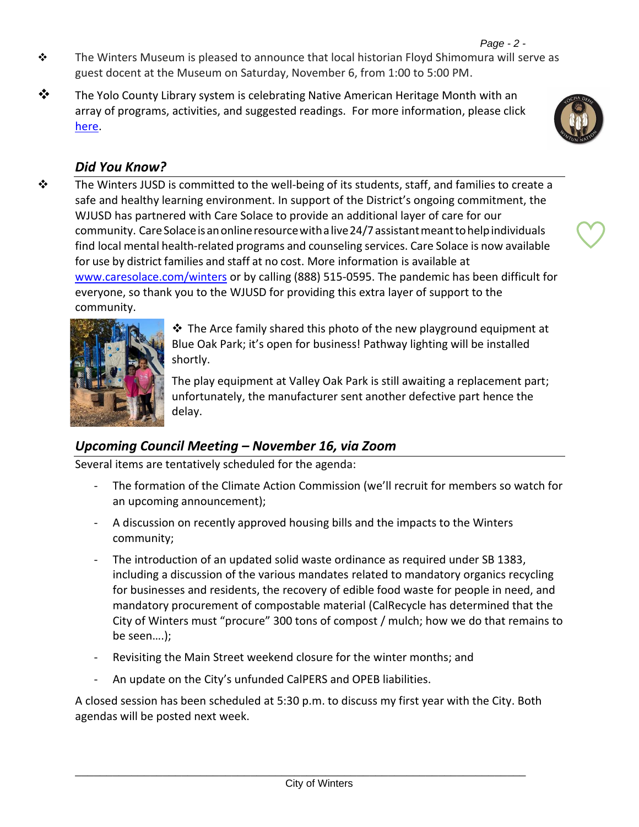- $\div$  The Winters Museum is pleased to announce that local historian Floyd Shimomura will serve as guest docent at the Museum on Saturday, November 6, from 1:00 to 5:00 PM.
- $\dots$  The Yolo County Library system is celebrating Native American Heritage Month with an array of programs, activities, and suggested readings. For more information, please click [here.](%09https:/yolocountylibrary.org/wp-content/uploads/sites/71/2021/11/2021-NAHM-Bib-with-Links.pdf)

## *Did You Know?*

❖ The Winters JUSD is committed to the well-being of its students, staff, and families to create a safe and healthy learning environment. In support of the District's ongoing commitment, the WJUSD has partnered with Care Solace to provide an additional layer of care for our community. Care Solace is an online resource with a live 24/7 assistant meant to help individuals find local mental health-related programs and counseling services. Care Solace is now available for use by district families and staff at no cost. More information is available at [www.caresolace.com/winters](http://www.caresolace.com/winters) or by calling (888) 515-0595. The pandemic has been difficult for everyone, so thank you to the WJUSD for providing this extra layer of support to the community.



❖ The Arce family shared this photo of the new playground equipment at Blue Oak Park; it's open for business! Pathway lighting will be installed shortly.

The play equipment at Valley Oak Park is still awaiting a replacement part; unfortunately, the manufacturer sent another defective part hence the delay.

#### *Upcoming Council Meeting – November 16, via Zoom*

Several items are tentatively scheduled for the agenda:

- The formation of the Climate Action Commission (we'll recruit for members so watch for an upcoming announcement);
- A discussion on recently approved housing bills and the impacts to the Winters community;
- The introduction of an updated solid waste ordinance as required under SB 1383, including a discussion of the various mandates related to mandatory organics recycling for businesses and residents, the recovery of edible food waste for people in need, and mandatory procurement of compostable material (CalRecycle has determined that the City of Winters must "procure" 300 tons of compost / mulch; how we do that remains to be seen….);
- Revisiting the Main Street weekend closure for the winter months; and
- An update on the City's unfunded CalPERS and OPEB liabilities.

A closed session has been scheduled at 5:30 p.m. to discuss my first year with the City. Both agendas will be posted next week.